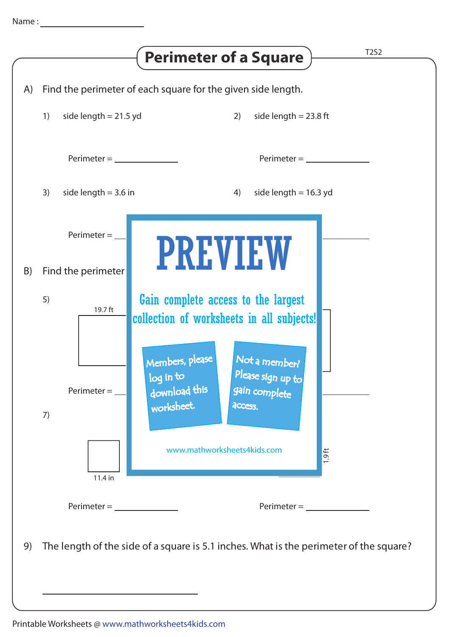